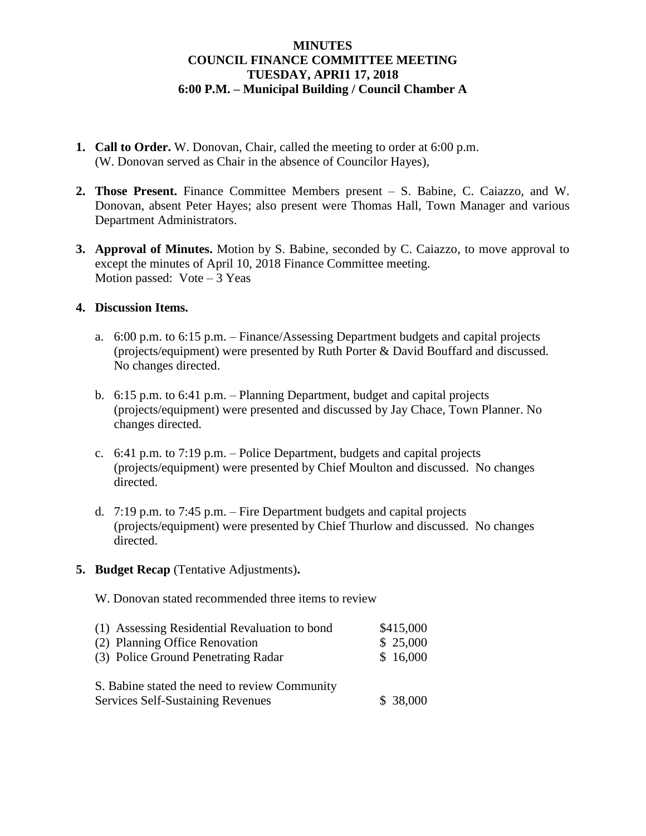## **MINUTES COUNCIL FINANCE COMMITTEE MEETING TUESDAY, APRI1 17, 2018 6:00 P.M. – Municipal Building / Council Chamber A**

- **1. Call to Order.** W. Donovan, Chair, called the meeting to order at 6:00 p.m. (W. Donovan served as Chair in the absence of Councilor Hayes),
- **2. Those Present.** Finance Committee Members present S. Babine, C. Caiazzo, and W. Donovan, absent Peter Hayes; also present were Thomas Hall, Town Manager and various Department Administrators.
- **3. Approval of Minutes.** Motion by S. Babine, seconded by C. Caiazzo, to move approval to except the minutes of April 10, 2018 Finance Committee meeting. Motion passed:  $Vote-3$  Yeas

## **4. Discussion Items.**

- a. 6:00 p.m. to 6:15 p.m. Finance/Assessing Department budgets and capital projects (projects/equipment) were presented by Ruth Porter & David Bouffard and discussed. No changes directed.
- b. 6:15 p.m. to 6:41 p.m. Planning Department, budget and capital projects (projects/equipment) were presented and discussed by Jay Chace, Town Planner. No changes directed.
- c. 6:41 p.m. to 7:19 p.m. Police Department, budgets and capital projects (projects/equipment) were presented by Chief Moulton and discussed. No changes directed.
- d. 7:19 p.m. to 7:45 p.m. Fire Department budgets and capital projects (projects/equipment) were presented by Chief Thurlow and discussed. No changes directed.
- **5. Budget Recap** (Tentative Adjustments)**.**

W. Donovan stated recommended three items to review

| (1) Assessing Residential Revaluation to bond                                      | \$415,000 |
|------------------------------------------------------------------------------------|-----------|
| (2) Planning Office Renovation                                                     | \$25,000  |
| (3) Police Ground Penetrating Radar                                                | \$16,000  |
| S. Babine stated the need to review Community<br>Services Self-Sustaining Revenues | \$38,000  |